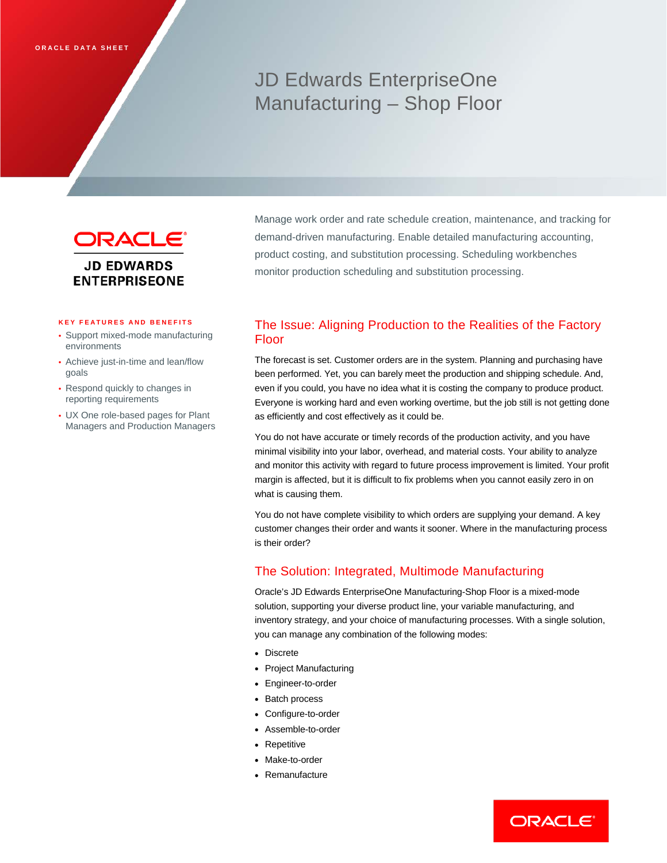# JD Edwards EnterpriseOne Manufacturing – Shop Floor



Manage work order and rate schedule creation, maintenance, and tracking for demand-driven manufacturing. Enable detailed manufacturing accounting, product costing, and substitution processing. Scheduling workbenches monitor production scheduling and substitution processing.

### **KEY FEATURES AND BENEFITS**

- Support mixed-mode manufacturing environments
- Achieve just-in-time and lean/flow goals
- Respond quickly to changes in reporting requirements
- UX One role-based pages for Plant Managers and Production Managers

# The Issue: Aligning Production to the Realities of the Factory Floor

The forecast is set. Customer orders are in the system. Planning and purchasing have been performed. Yet, you can barely meet the production and shipping schedule. And, even if you could, you have no idea what it is costing the company to produce product. Everyone is working hard and even working overtime, but the job still is not getting done as efficiently and cost effectively as it could be.

You do not have accurate or timely records of the production activity, and you have minimal visibility into your labor, overhead, and material costs. Your ability to analyze and monitor this activity with regard to future process improvement is limited. Your profit margin is affected, but it is difficult to fix problems when you cannot easily zero in on what is causing them.

You do not have complete visibility to which orders are supplying your demand. A key customer changes their order and wants it sooner. Where in the manufacturing process is their order?

# The Solution: Integrated, Multimode Manufacturing

Oracle's JD Edwards EnterpriseOne Manufacturing-Shop Floor is a mixed-mode solution, supporting your diverse product line, your variable manufacturing, and inventory strategy, and your choice of manufacturing processes. With a single solution, you can manage any combination of the following modes:

- Discrete
- Project Manufacturing
- Engineer-to-order
- Batch process
- Configure-to-order
- Assemble-to-order
- Repetitive
- Make-to-order
- Remanufacture

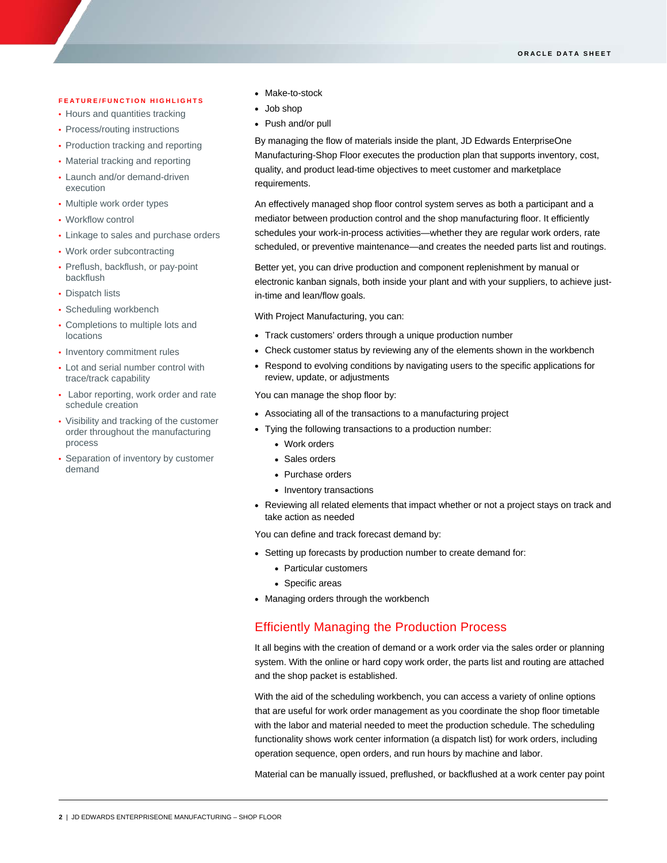#### **FEATURE/FUNCTION HIGHLIGHTS**

- Hours and quantities tracking
- Process/routing instructions
- Production tracking and reporting
- Material tracking and reporting
- Launch and/or demand-driven execution
- Multiple work order types
- Workflow control

I

- Linkage to sales and purchase orders
- Work order subcontracting
- Preflush, backflush, or pay-point backflush
- Dispatch lists
- Scheduling workbench
- Completions to multiple lots and locations
- Inventory commitment rules
- Lot and serial number control with trace/track capability
- Labor reporting, work order and rate schedule creation
- Visibility and tracking of the customer order throughout the manufacturing process
- Separation of inventory by customer demand
- Make-to-stock
- Job shop
- Push and/or pull

By managing the flow of materials inside the plant, JD Edwards EnterpriseOne Manufacturing-Shop Floor executes the production plan that supports inventory, cost, quality, and product lead-time objectives to meet customer and marketplace requirements.

An effectively managed shop floor control system serves as both a participant and a mediator between production control and the shop manufacturing floor. It efficiently schedules your work-in-process activities—whether they are regular work orders, rate scheduled, or preventive maintenance—and creates the needed parts list and routings.

Better yet, you can drive production and component replenishment by manual or electronic kanban signals, both inside your plant and with your suppliers, to achieve justin-time and lean/flow goals.

With Project Manufacturing, you can:

- Track customers' orders through a unique production number
- Check customer status by reviewing any of the elements shown in the workbench
- Respond to evolving conditions by navigating users to the specific applications for review, update, or adjustments

You can manage the shop floor by:

- Associating all of the transactions to a manufacturing project
- Tying the following transactions to a production number:
	- Work orders
	- Sales orders
	- Purchase orders
	- Inventory transactions
- Reviewing all related elements that impact whether or not a project stays on track and take action as needed

You can define and track forecast demand by:

- Setting up forecasts by production number to create demand for:
	- Particular customers
	- Specific areas
- Managing orders through the workbench

## Efficiently Managing the Production Process

It all begins with the creation of demand or a work order via the sales order or planning system. With the online or hard copy work order, the parts list and routing are attached and the shop packet is established.

With the aid of the scheduling workbench, you can access a variety of online options that are useful for work order management as you coordinate the shop floor timetable with the labor and material needed to meet the production schedule. The scheduling functionality shows work center information (a dispatch list) for work orders, including operation sequence, open orders, and run hours by machine and labor.

Material can be manually issued, preflushed, or backflushed at a work center pay point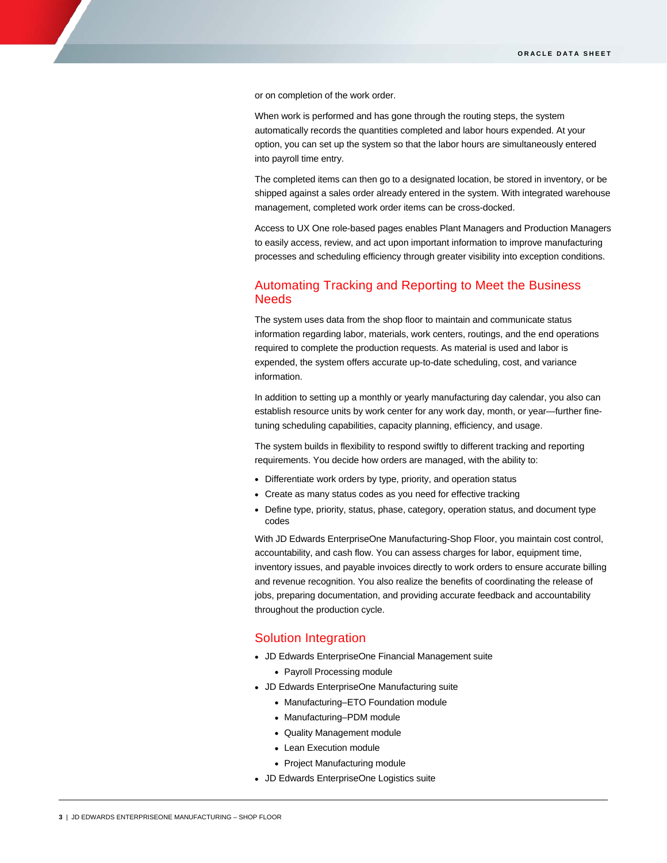or on completion of the work order.

When work is performed and has gone through the routing steps, the system automatically records the quantities completed and labor hours expended. At your option, you can set up the system so that the labor hours are simultaneously entered into payroll time entry.

The completed items can then go to a designated location, be stored in inventory, or be shipped against a sales order already entered in the system. With integrated warehouse management, completed work order items can be cross-docked.

Access to UX One role-based pages enables Plant Managers and Production Managers to easily access, review, and act upon important information to improve manufacturing processes and scheduling efficiency through greater visibility into exception conditions.

# Automating Tracking and Reporting to Meet the Business **Needs**

The system uses data from the shop floor to maintain and communicate status information regarding labor, materials, work centers, routings, and the end operations required to complete the production requests. As material is used and labor is expended, the system offers accurate up-to-date scheduling, cost, and variance information.

In addition to setting up a monthly or yearly manufacturing day calendar, you also can establish resource units by work center for any work day, month, or year—further finetuning scheduling capabilities, capacity planning, efficiency, and usage.

The system builds in flexibility to respond swiftly to different tracking and reporting requirements. You decide how orders are managed, with the ability to:

- Differentiate work orders by type, priority, and operation status
- Create as many status codes as you need for effective tracking
- Define type, priority, status, phase, category, operation status, and document type codes

With JD Edwards EnterpriseOne Manufacturing-Shop Floor, you maintain cost control, accountability, and cash flow. You can assess charges for labor, equipment time, inventory issues, and payable invoices directly to work orders to ensure accurate billing and revenue recognition. You also realize the benefits of coordinating the release of jobs, preparing documentation, and providing accurate feedback and accountability throughout the production cycle.

# Solution Integration

- JD Edwards EnterpriseOne Financial Management suite
	- Payroll Processing module
- JD Edwards EnterpriseOne Manufacturing suite
	- Manufacturing–ETO Foundation module
	- Manufacturing–PDM module
	- Quality Management module
	- Lean Execution module
	- Project Manufacturing module
- JD Edwards EnterpriseOne Logistics suite

I